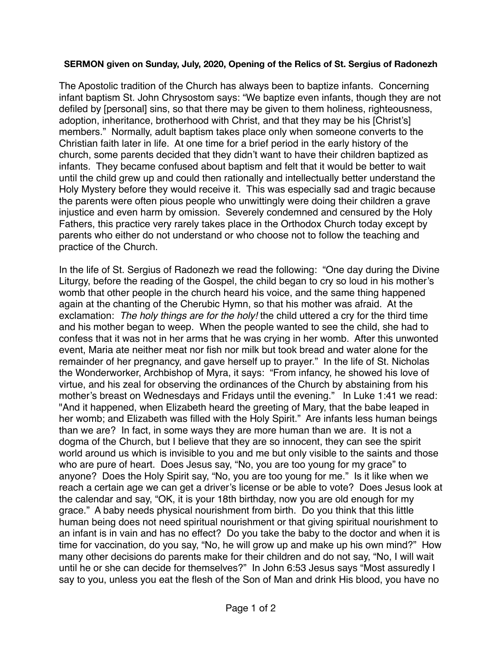## **SERMON given on Sunday, July, 2020, Opening of the Relics of St. Sergius of Radonezh**

The Apostolic tradition of the Church has always been to baptize infants. Concerning infant baptism St. John Chrysostom says: "We baptize even infants, though they are not defiled by [personal] sins, so that there may be given to them holiness, righteousness, adoption, inheritance, brotherhood with Christ, and that they may be his [Christ's] members." Normally, adult baptism takes place only when someone converts to the Christian faith later in life. At one time for a brief period in the early history of the church, some parents decided that they didn't want to have their children baptized as infants. They became confused about baptism and felt that it would be better to wait until the child grew up and could then rationally and intellectually better understand the Holy Mystery before they would receive it. This was especially sad and tragic because the parents were often pious people who unwittingly were doing their children a grave injustice and even harm by omission. Severely condemned and censured by the Holy Fathers, this practice very rarely takes place in the Orthodox Church today except by parents who either do not understand or who choose not to follow the teaching and practice of the Church.

In the life of St. Sergius of Radonezh we read the following: "One day during the Divine Liturgy, before the reading of the Gospel, the child began to cry so loud in his mother's womb that other people in the church heard his voice, and the same thing happened again at the chanting of the Cherubic Hymn, so that his mother was afraid. At the exclamation: *The holy things are for the holy!* the child uttered a cry for the third time and his mother began to weep. When the people wanted to see the child, she had to confess that it was not in her arms that he was crying in her womb. After this unwonted event, Maria ate neither meat nor fish nor milk but took bread and water alone for the remainder of her pregnancy, and gave herself up to prayer." In the life of St. Nicholas the Wonderworker, Archbishop of Myra, it says: "From infancy, he showed his love of virtue, and his zeal for observing the ordinances of the Church by abstaining from his mother's breast on Wednesdays and Fridays until the evening." In Luke 1:41 we read: "And it happened, when Elizabeth heard the greeting of Mary, that the babe leaped in her womb; and Elizabeth was filled with the Holy Spirit." Are infants less human beings than we are? In fact, in some ways they are more human than we are. It is not a dogma of the Church, but I believe that they are so innocent, they can see the spirit world around us which is invisible to you and me but only visible to the saints and those who are pure of heart. Does Jesus say, "No, you are too young for my grace" to anyone? Does the Holy Spirit say, "No, you are too young for me." Is it like when we reach a certain age we can get a driver's license or be able to vote? Does Jesus look at the calendar and say, "OK, it is your 18th birthday, now you are old enough for my grace." A baby needs physical nourishment from birth. Do you think that this little human being does not need spiritual nourishment or that giving spiritual nourishment to an infant is in vain and has no effect? Do you take the baby to the doctor and when it is time for vaccination, do you say, "No, he will grow up and make up his own mind?" How many other decisions do parents make for their children and do not say, "No, I will wait until he or she can decide for themselves?" In John 6:53 Jesus says "Most assuredly I say to you, unless you eat the flesh of the Son of Man and drink His blood, you have no